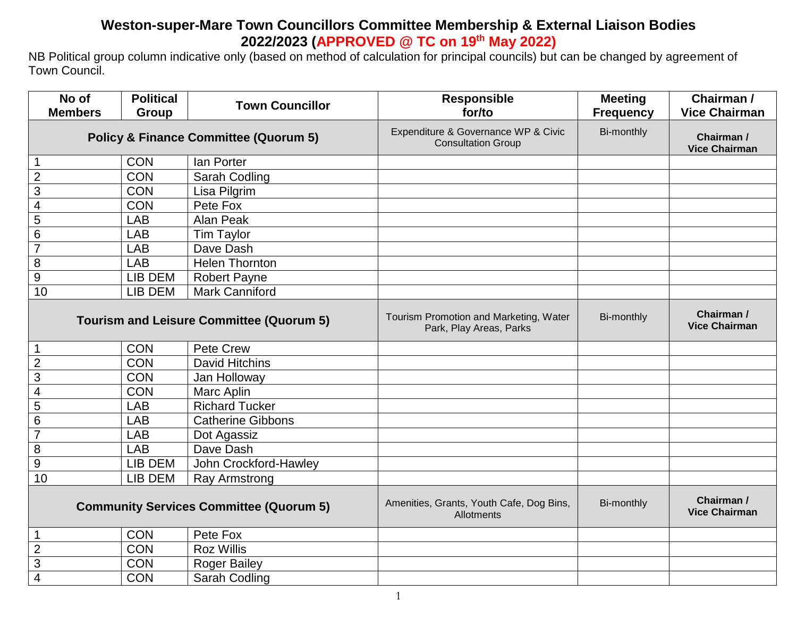## **Weston-super-Mare Town Councillors Committee Membership & External Liaison Bodies 2022/2023 (APPROVED @ TC on 19th May 2022)**

NB Political group column indicative only (based on method of calculation for principal councils) but can be changed by agreement of Town Council.

| No of                                            | <b>Political</b> | <b>Town Councillor</b>                                           | Responsible                                                       | <b>Meeting</b>                     | Chairman /                         |
|--------------------------------------------------|------------------|------------------------------------------------------------------|-------------------------------------------------------------------|------------------------------------|------------------------------------|
| <b>Members</b>                                   | Group            |                                                                  | for/to                                                            | <b>Frequency</b>                   | <b>Vice Chairman</b>               |
| <b>Policy &amp; Finance Committee (Quorum 5)</b> |                  | Expenditure & Governance WP & Civic<br><b>Consultation Group</b> | Bi-monthly                                                        | Chairman /<br><b>Vice Chairman</b> |                                    |
|                                                  | <b>CON</b>       | lan Porter                                                       |                                                                   |                                    |                                    |
| $\overline{2}$                                   | <b>CON</b>       | Sarah Codling                                                    |                                                                   |                                    |                                    |
| 3                                                | <b>CON</b>       | Lisa Pilgrim                                                     |                                                                   |                                    |                                    |
| $\overline{\mathcal{A}}$                         | <b>CON</b>       | Pete Fox                                                         |                                                                   |                                    |                                    |
| 5                                                | LAB              | Alan Peak                                                        |                                                                   |                                    |                                    |
| 6                                                | LAB              | <b>Tim Taylor</b>                                                |                                                                   |                                    |                                    |
| $\overline{7}$                                   | LAB              | Dave Dash                                                        |                                                                   |                                    |                                    |
| 8                                                | LAB              | <b>Helen Thornton</b>                                            |                                                                   |                                    |                                    |
| 9                                                | LIB DEM          | <b>Robert Payne</b>                                              |                                                                   |                                    |                                    |
| 10                                               | LIB DEM          | <b>Mark Canniford</b>                                            |                                                                   |                                    |                                    |
| <b>Tourism and Leisure Committee (Quorum 5)</b>  |                  |                                                                  | Tourism Promotion and Marketing, Water<br>Park, Play Areas, Parks | Bi-monthly                         | Chairman /<br><b>Vice Chairman</b> |
|                                                  | <b>CON</b>       | Pete Crew                                                        |                                                                   |                                    |                                    |
| $\overline{2}$                                   | <b>CON</b>       | David Hitchins                                                   |                                                                   |                                    |                                    |
| 3                                                | <b>CON</b>       | Jan Holloway                                                     |                                                                   |                                    |                                    |
| $\overline{\mathcal{A}}$                         | <b>CON</b>       | Marc Aplin                                                       |                                                                   |                                    |                                    |
| 5                                                | LAB              | <b>Richard Tucker</b>                                            |                                                                   |                                    |                                    |
| 6                                                | LAB              | <b>Catherine Gibbons</b>                                         |                                                                   |                                    |                                    |
| $\overline{7}$                                   | LAB              | Dot Agassiz                                                      |                                                                   |                                    |                                    |
| 8                                                | <b>LAB</b>       | Dave Dash                                                        |                                                                   |                                    |                                    |
| $\overline{9}$                                   | <b>LIB DEM</b>   | John Crockford-Hawley                                            |                                                                   |                                    |                                    |
| 10                                               | LIB DEM          | <b>Ray Armstrong</b>                                             |                                                                   |                                    |                                    |
| <b>Community Services Committee (Quorum 5)</b>   |                  | Amenities, Grants, Youth Cafe, Dog Bins,<br>Allotments           | Bi-monthly                                                        | Chairman /<br><b>Vice Chairman</b> |                                    |
|                                                  | <b>CON</b>       | Pete Fox                                                         |                                                                   |                                    |                                    |
| $\overline{c}$                                   | <b>CON</b>       | <b>Roz Willis</b>                                                |                                                                   |                                    |                                    |
| 3                                                | <b>CON</b>       | <b>Roger Bailey</b>                                              |                                                                   |                                    |                                    |
| $\overline{4}$                                   | <b>CON</b>       | Sarah Codling                                                    |                                                                   |                                    |                                    |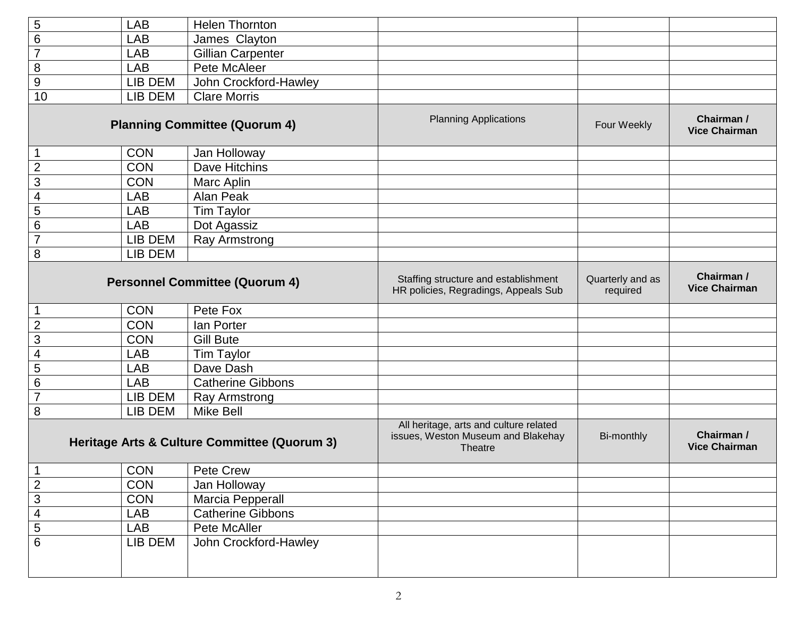| 5                                            | <b>LAB</b> | <b>Helen Thornton</b>                                                                   |                              |                                    |                                    |
|----------------------------------------------|------------|-----------------------------------------------------------------------------------------|------------------------------|------------------------------------|------------------------------------|
| $\overline{6}$                               | <b>LAB</b> | James Clayton                                                                           |                              |                                    |                                    |
| $\overline{7}$                               | <b>LAB</b> | Gillian Carpenter                                                                       |                              |                                    |                                    |
| $\overline{8}$                               | <b>LAB</b> | Pete McAleer                                                                            |                              |                                    |                                    |
| 9                                            | LIB DEM    | John Crockford-Hawley                                                                   |                              |                                    |                                    |
| 10                                           | LIB DEM    | <b>Clare Morris</b>                                                                     |                              |                                    |                                    |
| <b>Planning Committee (Quorum 4)</b>         |            |                                                                                         | <b>Planning Applications</b> | Four Weekly                        | Chairman /<br><b>Vice Chairman</b> |
| $\mathbf 1$                                  | <b>CON</b> | Jan Holloway                                                                            |                              |                                    |                                    |
| $\overline{2}$                               | <b>CON</b> | Dave Hitchins                                                                           |                              |                                    |                                    |
| 3                                            | <b>CON</b> | Marc Aplin                                                                              |                              |                                    |                                    |
| $\overline{\mathcal{A}}$                     | <b>LAB</b> | Alan Peak                                                                               |                              |                                    |                                    |
| 5                                            | <b>LAB</b> | Tim Taylor                                                                              |                              |                                    |                                    |
| $\overline{6}$                               | <b>LAB</b> | Dot Agassiz                                                                             |                              |                                    |                                    |
| $\overline{7}$                               | LIB DEM    | Ray Armstrong                                                                           |                              |                                    |                                    |
| 8                                            | LIB DEM    |                                                                                         |                              |                                    |                                    |
| <b>Personnel Committee (Quorum 4)</b>        |            | Staffing structure and establishment<br>HR policies, Regradings, Appeals Sub            | Quarterly and as<br>required | Chairman /<br><b>Vice Chairman</b> |                                    |
| 1                                            | <b>CON</b> | Pete Fox                                                                                |                              |                                    |                                    |
| $\overline{2}$                               | <b>CON</b> | lan Porter                                                                              |                              |                                    |                                    |
| $\overline{3}$                               | <b>CON</b> | <b>Gill Bute</b>                                                                        |                              |                                    |                                    |
| $\overline{\mathbf{4}}$                      | <b>LAB</b> | Tim Taylor                                                                              |                              |                                    |                                    |
| 5                                            | <b>LAB</b> | Dave Dash                                                                               |                              |                                    |                                    |
| $\overline{6}$                               | <b>LAB</b> | <b>Catherine Gibbons</b>                                                                |                              |                                    |                                    |
| $\overline{7}$                               | LIB DEM    | <b>Ray Armstrong</b>                                                                    |                              |                                    |                                    |
| 8                                            | LIB DEM    | Mike Bell                                                                               |                              |                                    |                                    |
| Heritage Arts & Culture Committee (Quorum 3) |            | All heritage, arts and culture related<br>issues, Weston Museum and Blakehay<br>Theatre | Bi-monthly                   | Chairman /<br><b>Vice Chairman</b> |                                    |
| - I                                          |            | CON   Pete Crew                                                                         |                              |                                    |                                    |
| $\overline{2}$                               | CON        | Jan Holloway                                                                            |                              |                                    |                                    |
| $\overline{3}$                               | CON        | Marcia Pepperall                                                                        |                              |                                    |                                    |
| $\overline{\mathbf{4}}$                      | <b>LAB</b> | <b>Catherine Gibbons</b>                                                                |                              |                                    |                                    |
| $\overline{5}$                               | LAB        | Pete McAller                                                                            |                              |                                    |                                    |
| $\overline{6}$                               | LIB DEM    | John Crockford-Hawley                                                                   |                              |                                    |                                    |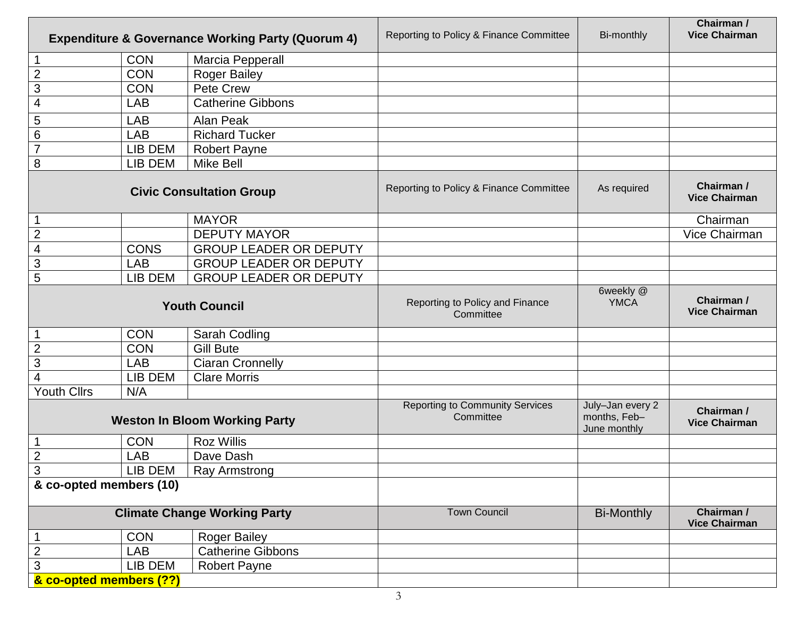| <b>Expenditure &amp; Governance Working Party (Quorum 4)</b> |             | Reporting to Policy & Finance Committee             | Bi-monthly                                       | Chairman /<br><b>Vice Chairman</b> |               |
|--------------------------------------------------------------|-------------|-----------------------------------------------------|--------------------------------------------------|------------------------------------|---------------|
|                                                              | <b>CON</b>  | Marcia Pepperall                                    |                                                  |                                    |               |
| $\overline{2}$                                               | <b>CON</b>  | <b>Roger Bailey</b>                                 |                                                  |                                    |               |
| $\mathfrak{S}$                                               | <b>CON</b>  | Pete Crew                                           |                                                  |                                    |               |
| 4                                                            | <b>LAB</b>  | <b>Catherine Gibbons</b>                            |                                                  |                                    |               |
| 5                                                            | <b>LAB</b>  | Alan Peak                                           |                                                  |                                    |               |
| $\,6$                                                        | <b>LAB</b>  | <b>Richard Tucker</b>                               |                                                  |                                    |               |
| $\overline{7}$                                               | LIB DEM     | <b>Robert Payne</b>                                 |                                                  |                                    |               |
| 8                                                            | LIB DEM     | <b>Mike Bell</b>                                    |                                                  |                                    |               |
| <b>Civic Consultation Group</b>                              |             | Reporting to Policy & Finance Committee             | As required                                      | Chairman /<br><b>Vice Chairman</b> |               |
|                                                              |             | <b>MAYOR</b>                                        |                                                  |                                    | Chairman      |
| $\overline{2}$                                               |             | <b>DEPUTY MAYOR</b>                                 |                                                  |                                    | Vice Chairman |
| $\overline{\mathcal{A}}$                                     | <b>CONS</b> | <b>GROUP LEADER OR DEPUTY</b>                       |                                                  |                                    |               |
| $\overline{3}$                                               | <b>LAB</b>  | <b>GROUP LEADER OR DEPUTY</b>                       |                                                  |                                    |               |
| 5                                                            | LIB DEM     | <b>GROUP LEADER OR DEPUTY</b>                       |                                                  |                                    |               |
| <b>Youth Council</b>                                         |             | Reporting to Policy and Finance<br>Committee        | 6weekly @<br><b>YMCA</b>                         | Chairman /<br><b>Vice Chairman</b> |               |
|                                                              | <b>CON</b>  | Sarah Codling                                       |                                                  |                                    |               |
| $\overline{2}$                                               | <b>CON</b>  | <b>Gill Bute</b>                                    |                                                  |                                    |               |
| $\ensuremath{\mathsf{3}}$                                    | <b>LAB</b>  | <b>Ciaran Cronnelly</b>                             |                                                  |                                    |               |
| $\overline{\mathbf{4}}$                                      | LIB DEM     | <b>Clare Morris</b>                                 |                                                  |                                    |               |
| <b>Youth Cllrs</b>                                           | N/A         |                                                     |                                                  |                                    |               |
| <b>Weston In Bloom Working Party</b>                         |             | <b>Reporting to Community Services</b><br>Committee | July-Jan every 2<br>months, Feb-<br>June monthly | Chairman /<br><b>Vice Chairman</b> |               |
|                                                              | <b>CON</b>  | <b>Roz Willis</b>                                   |                                                  |                                    |               |
| $\overline{2}$                                               | <b>LAB</b>  | Dave Dash                                           |                                                  |                                    |               |
| $\sim$<br>J.                                                 | LIB DEM     | Ray Armstrong                                       |                                                  |                                    |               |
| & co-opted members (10)                                      |             |                                                     |                                                  |                                    |               |
| <b>Climate Change Working Party</b>                          |             | <b>Town Council</b>                                 | <b>Bi-Monthly</b>                                | Chairman /<br><b>Vice Chairman</b> |               |
|                                                              | <b>CON</b>  | <b>Roger Bailey</b>                                 |                                                  |                                    |               |
| $\overline{c}$                                               | <b>LAB</b>  | <b>Catherine Gibbons</b>                            |                                                  |                                    |               |
| $\overline{3}$                                               | LIB DEM     | <b>Robert Payne</b>                                 |                                                  |                                    |               |
| & co-opted members (??)                                      |             |                                                     |                                                  |                                    |               |